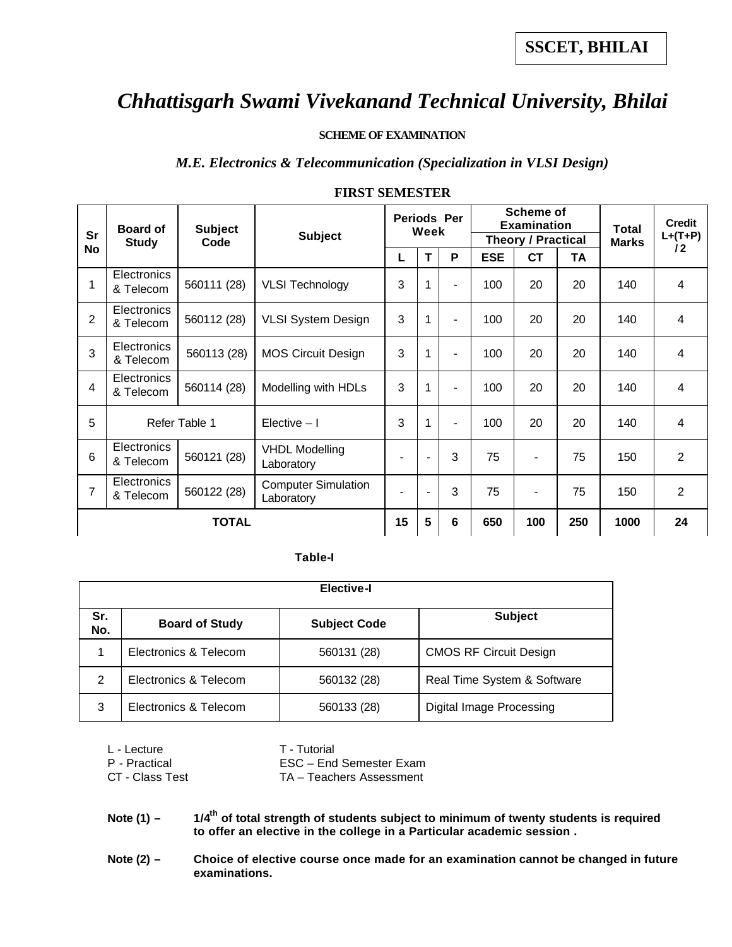#### **SCHEME OF EXAMINATION**

#### *M.E. Electronics & Telecommunication (Specialization in VLSI Design)*

| <b>Sr</b>    | Board of                        | <b>Subject</b> | <b>Subject</b>                           |                          | <b>Periods Per</b><br>Week |                                                            | <b>Scheme of</b><br><b>Examination</b> |                |      | <b>Total</b> | <b>Credit</b><br>$L+(T+P)$ |
|--------------|---------------------------------|----------------|------------------------------------------|--------------------------|----------------------------|------------------------------------------------------------|----------------------------------------|----------------|------|--------------|----------------------------|
| <b>No</b>    | <b>Study</b>                    | Code           |                                          | P<br>т<br>L              |                            | <b>Theory / Practical</b><br><b>CT</b><br><b>ESE</b><br>TA |                                        | <b>Marks</b>   | 12   |              |                            |
| 1            | Electronics<br>& Telecom        | 560111 (28)    | <b>VLSI Technology</b>                   | 3                        | 1                          |                                                            | 100                                    | 20             | 20   | 140          | 4                          |
| 2            | Electronics<br>& Telecom        | 560112 (28)    | <b>VLSI System Design</b>                | 3                        | 1                          | ۰                                                          | 100                                    | 20             | 20   | 140          | 4                          |
| 3            | <b>Electronics</b><br>& Telecom | 560113 (28)    | <b>MOS Circuit Design</b>                | 3                        | $\mathbf{1}$               |                                                            | 100                                    | 20             | 20   | 140          | 4                          |
| 4            | <b>Electronics</b><br>& Telecom | 560114 (28)    | Modelling with HDLs                      | 3                        | 1                          |                                                            | 100                                    | 20             | 20   | 140          | 4                          |
| 5            |                                 | Refer Table 1  | Elective $-1$                            | 3                        | 1                          | ۰                                                          | 100                                    | 20             | 20   | 140          | 4                          |
| 6            | <b>Electronics</b><br>& Telecom | 560121 (28)    | <b>VHDL Modelling</b><br>Laboratory      | $\overline{\phantom{a}}$ |                            | 3                                                          | 75                                     |                | 75   | 150          | 2                          |
| 7            | Electronics<br>& Telecom        | 560122 (28)    | <b>Computer Simulation</b><br>Laboratory | $\blacksquare$           | $\overline{a}$             | 3                                                          | 75                                     | $\blacksquare$ | 75   | 150          | 2                          |
| <b>TOTAL</b> |                                 |                | 15                                       | 5                        | 6                          | 650                                                        | 100                                    | 250            | 1000 | 24           |                            |

#### **FIRST SEMESTER**

#### **Table-I**

|            | <b>Elective-I</b>     |                     |                               |  |  |  |  |  |  |
|------------|-----------------------|---------------------|-------------------------------|--|--|--|--|--|--|
| Sr.<br>No. | <b>Board of Study</b> | <b>Subject Code</b> | <b>Subject</b>                |  |  |  |  |  |  |
| 1          | Electronics & Telecom | 560131 (28)         | <b>CMOS RF Circuit Design</b> |  |  |  |  |  |  |
| 2          | Electronics & Telecom | 560132 (28)         | Real Time System & Software   |  |  |  |  |  |  |
| 3          | Electronics & Telecom | 560133 (28)         | Digital Image Processing      |  |  |  |  |  |  |

| L - Lecture     | T - Tutorial             |
|-----------------|--------------------------|
| P - Practical   | ESC - End Semester Exam  |
| CT - Class Test | TA - Teachers Assessment |

**Note (1) – 1/4th of total strength of students subject to minimum of twenty students is required to offer an elective in the college in a Particular academic session .**

Note (2) - Choice of elective course once made for an examination cannot be changed in future **examinations.**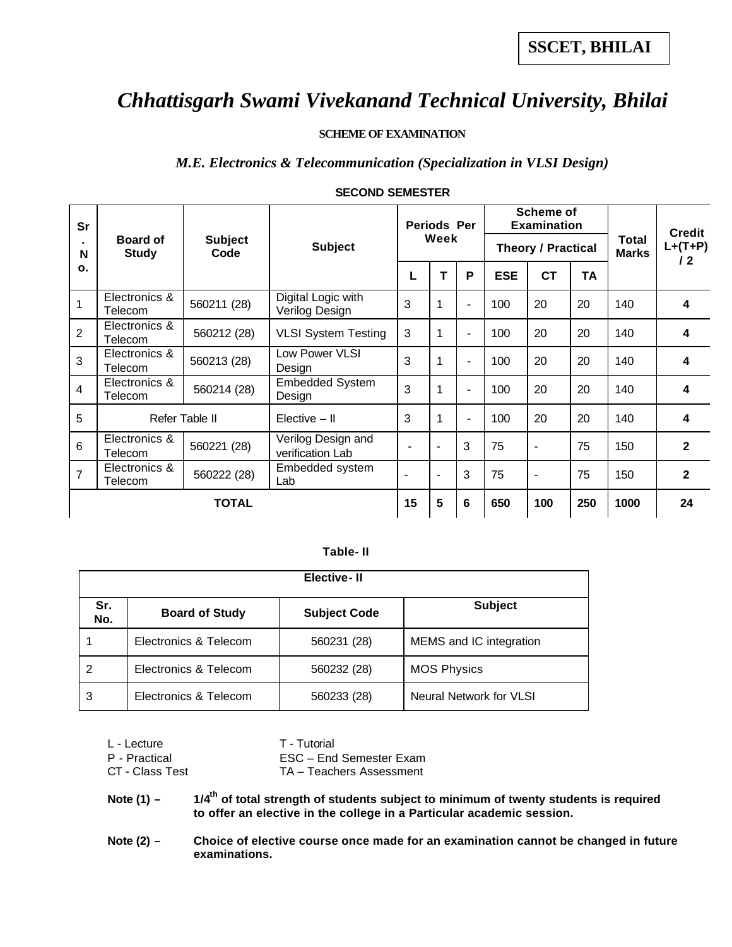#### **SCHEME OF EXAMINATION**

#### *M.E. Electronics & Telecommunication (Specialization in VLSI Design)*

| <b>Sr</b>      |                                 |                        |                                        |                          | <b>Periods Per</b>       |                |            | <b>Scheme of</b><br><b>Examination</b> |                              | <b>Credit</b>           |                         |
|----------------|---------------------------------|------------------------|----------------------------------------|--------------------------|--------------------------|----------------|------------|----------------------------------------|------------------------------|-------------------------|-------------------------|
| N              | <b>Board of</b><br><b>Study</b> | <b>Subject</b><br>Code | <b>Subject</b>                         | Week                     |                          |                |            | <b>Theory / Practical</b>              | <b>Total</b><br><b>Marks</b> | $L+(T+P)$<br>$\sqrt{2}$ |                         |
| $\mathbf{o}$ . |                                 |                        |                                        |                          | т                        | P              | <b>ESE</b> | <b>CT</b>                              | <b>TA</b>                    |                         |                         |
| 1              | Electronics &<br>Telecom        | 560211 (28)            | Digital Logic with<br>Verilog Design   | 3                        | 1                        | $\blacksquare$ | 100        | 20                                     | 20                           | 140                     | 4                       |
| $\overline{2}$ | Electronics &<br>Telecom        | 560212 (28)            | <b>VLSI System Testing</b>             | 3                        | 1                        | $\blacksquare$ | 100        | 20                                     | 20                           | 140                     | 4                       |
| 3              | Electronics &<br>Telecom        | 560213 (28)            | Low Power VLSI<br>Design               | 3                        | 1                        | $\blacksquare$ | 100        | 20                                     | 20                           | 140                     | $\overline{\mathbf{4}}$ |
| 4              | Electronics &<br>Telecom        | 560214 (28)            | <b>Embedded System</b><br>Design       | 3                        | 1                        | $\blacksquare$ | 100        | 20                                     | 20                           | 140                     | 4                       |
| 5              |                                 | Refer Table II         | $Elective - II$                        | 3                        | 1                        | $\blacksquare$ | 100        | 20                                     | 20                           | 140                     | 4                       |
| 6              | Electronics &<br>Telecom        | 560221 (28)            | Verilog Design and<br>verification Lab |                          | $\blacksquare$           | 3              | 75         | $\blacksquare$                         | 75                           | 150                     | $\overline{2}$          |
| 7              | Electronics &<br>Telecom        | 560222 (28)            | Embedded system<br>Lab                 | $\overline{\phantom{0}}$ | $\overline{\phantom{a}}$ | 3              | 75         | $\blacksquare$                         | 75                           | 150                     | $\overline{2}$          |
|                |                                 | <b>TOTAL</b>           |                                        | 15                       | 5                        | 6              | 650        | 100                                    | 250                          | 1000                    | 24                      |

#### **SECOND SEMESTER**

#### **Table- II**

|            |                       | Elective-II         |                         |
|------------|-----------------------|---------------------|-------------------------|
| Sr.<br>No. | <b>Board of Study</b> | <b>Subject Code</b> | <b>Subject</b>          |
|            | Electronics & Telecom | 560231 (28)         | MEMS and IC integration |
| 2          | Electronics & Telecom | 560232 (28)         | <b>MOS Physics</b>      |
| 3          | Electronics & Telecom | 560233 (28)         | Neural Network for VLSI |

| L - Lecture     | T - Tutorial             |
|-----------------|--------------------------|
| P - Practical   | ESC - End Semester Exam  |
| CT - Class Test | TA - Teachers Assessment |

**Note (1) – 1/4th of total strength of students subject to minimum of twenty students is required to offer an elective in the college in a Particular academic session.**

Note (2) - Choice of elective course once made for an examination cannot be changed in future **examinations.**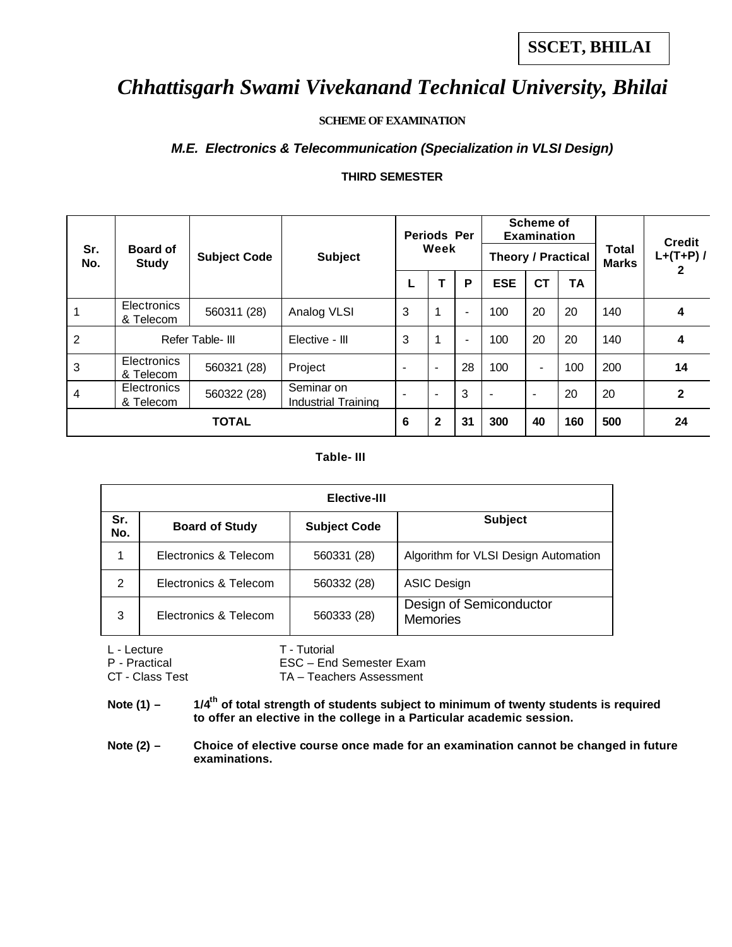### **SCHEME OF EXAMINATION**

### *M.E. Electronics & Telecommunication (Specialization in VLSI Design)*

### **THIRD SEMESTER**

|                |                                                        |              |                                   | <b>Periods Per</b> |              |                          |                           | <b>Scheme of</b><br><b>Examination</b> |           |                              | <b>Credit</b> |
|----------------|--------------------------------------------------------|--------------|-----------------------------------|--------------------|--------------|--------------------------|---------------------------|----------------------------------------|-----------|------------------------------|---------------|
| Sr.<br>No.     | <b>Board of</b><br><b>Subject Code</b><br><b>Study</b> |              | <b>Subject</b>                    | Week               |              |                          | <b>Theory / Practical</b> |                                        |           | <b>Total</b><br><b>Marks</b> | $L+(T+P)$ /   |
|                |                                                        |              |                                   |                    |              | P                        | <b>ESE</b>                | <b>CT</b>                              | <b>TA</b> |                              |               |
|                | Electronics<br>& Telecom                               | 560311 (28)  | Analog VLSI                       | 3                  | 1            | $\blacksquare$           | 100                       | 20                                     | 20        | 140                          | 4             |
| 2              | Refer Table- III                                       |              | Elective - III                    | 3                  | 1            | $\overline{\phantom{a}}$ | 100                       | 20                                     | 20        | 140                          | 4             |
| 3              | <b>Electronics</b><br>& Telecom                        | 560321 (28)  | Project                           |                    | ۰            | 28                       | 100                       | $\blacksquare$                         | 100       | 200                          | 14            |
| $\overline{4}$ | <b>Electronics</b><br>& Telecom                        | 560322 (28)  | Seminar on<br>Industrial Training |                    |              | 3                        | $\overline{\phantom{0}}$  | $\overline{\phantom{a}}$               | 20        | 20                           | $\mathbf{2}$  |
|                |                                                        | <b>TOTAL</b> |                                   | 6                  | $\mathbf{2}$ | 31                       | 300                       | 40                                     | 160       | 500                          | 24            |

#### **Table- III**

|            | Elective-III          |                     |                                            |  |  |  |  |  |  |  |
|------------|-----------------------|---------------------|--------------------------------------------|--|--|--|--|--|--|--|
| Sr.<br>No. | <b>Board of Study</b> | <b>Subject Code</b> | <b>Subject</b>                             |  |  |  |  |  |  |  |
|            | Electronics & Telecom | 560331 (28)         | Algorithm for VLSI Design Automation       |  |  |  |  |  |  |  |
| 2          | Electronics & Telecom | 560332 (28)         | <b>ASIC Design</b>                         |  |  |  |  |  |  |  |
| 3          | Electronics & Telecom | 560333 (28)         | Design of Semiconductor<br><b>Memories</b> |  |  |  |  |  |  |  |

L - Lecture T - Tutorial

P - Practical ESC – End Semester Exam

CT - Class Test TA – Teachers Assessment

Note (1) –  $1/4$ <sup>th</sup> of total strength of students subject to minimum of twenty students is required **to offer an elective in the college in a Particular academic session.**

Note (2) – Choice of elective course once made for an examination cannot be changed in future **examinations.**